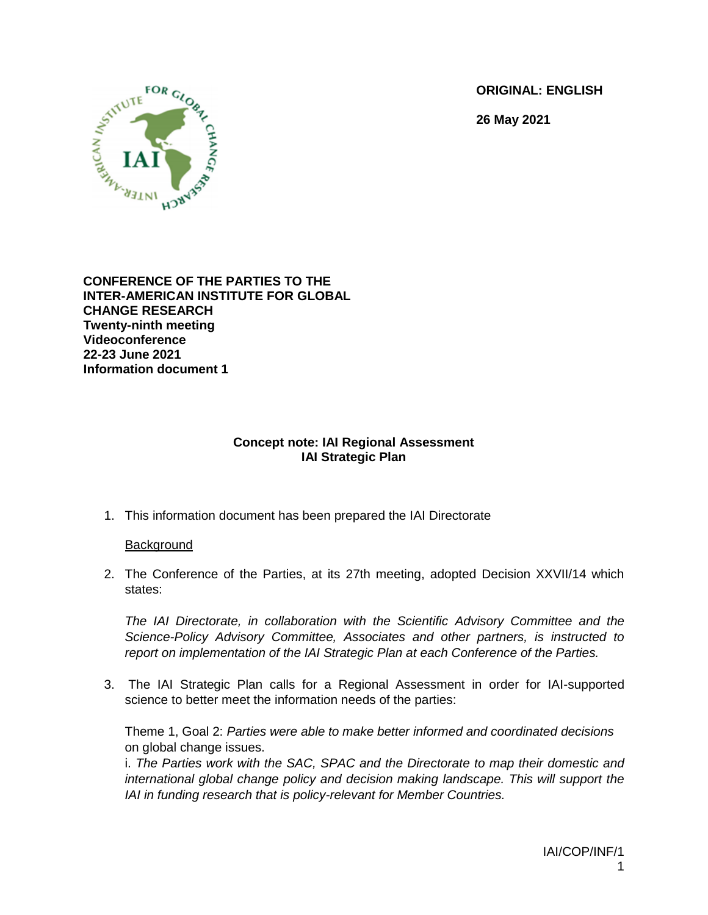**ORIGINAL: ENGLISH**

**26 May 2021**



**CONFERENCE OF THE PARTIES TO THE INTER-AMERICAN INSTITUTE FOR GLOBAL CHANGE RESEARCH Twenty-ninth meeting Videoconference 22-23 June 2021 Information document 1**

## **Concept note: IAI Regional Assessment IAI Strategic Plan**

1. This information document has been prepared the IAI Directorate

### **Background**

2. The Conference of the Parties, at its 27th meeting, adopted Decision XXVII/14 which states:

*The IAI Directorate, in collaboration with the Scientific Advisory Committee and the Science-Policy Advisory Committee, Associates and other partners, is instructed to report on implementation of the IAI Strategic Plan at each Conference of the Parties.*

3. The IAI Strategic Plan calls for a Regional Assessment in order for IAI-supported science to better meet the information needs of the parties:

Theme 1, Goal 2: *Parties were able to make better informed and coordinated decisions*  on global change issues.

i. *The Parties work with the SAC, SPAC and the Directorate to map their domestic and international global change policy and decision making landscape. This will support the IAI in funding research that is policy-relevant for Member Countries.*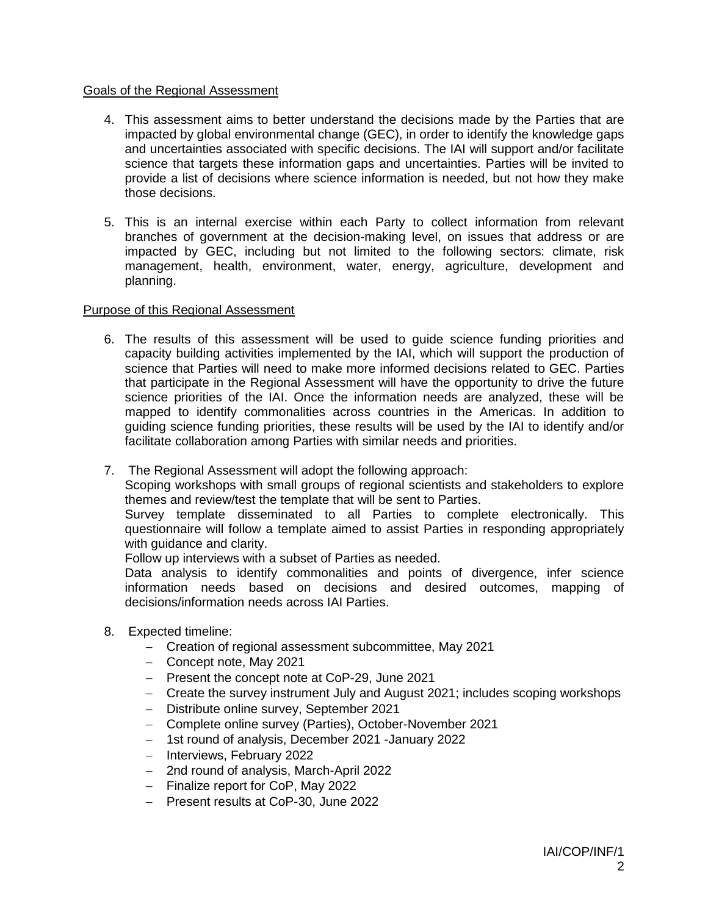### Goals of the Regional Assessment

- 4. This assessment aims to better understand the decisions made by the Parties that are impacted by global environmental change (GEC), in order to identify the knowledge gaps and uncertainties associated with specific decisions. The IAI will support and/or facilitate science that targets these information gaps and uncertainties. Parties will be invited to provide a list of decisions where science information is needed, but not how they make those decisions.
- 5. This is an internal exercise within each Party to collect information from relevant branches of government at the decision-making level, on issues that address or are impacted by GEC, including but not limited to the following sectors: climate, risk management, health, environment, water, energy, agriculture, development and planning.

#### Purpose of this Regional Assessment

- 6. The results of this assessment will be used to guide science funding priorities and capacity building activities implemented by the IAI, which will support the production of science that Parties will need to make more informed decisions related to GEC. Parties that participate in the Regional Assessment will have the opportunity to drive the future science priorities of the IAI. Once the information needs are analyzed, these will be mapped to identify commonalities across countries in the Americas. In addition to guiding science funding priorities, these results will be used by the IAI to identify and/or facilitate collaboration among Parties with similar needs and priorities.
- 7. The Regional Assessment will adopt the following approach:

Scoping workshops with small groups of regional scientists and stakeholders to explore themes and review/test the template that will be sent to Parties.

Survey template disseminated to all Parties to complete electronically. This questionnaire will follow a template aimed to assist Parties in responding appropriately with guidance and clarity.

Follow up interviews with a subset of Parties as needed.

Data analysis to identify commonalities and points of divergence, infer science information needs based on decisions and desired outcomes, mapping of decisions/information needs across IAI Parties.

- 8. Expected timeline:
	- Creation of regional assessment subcommittee, May 2021
	- Concept note, May 2021
	- Present the concept note at CoP-29, June 2021
	- Create the survey instrument July and August 2021; includes scoping workshops
	- Distribute online survey, September 2021
	- Complete online survey (Parties), October-November 2021
	- 1st round of analysis, December 2021 -January 2022
	- Interviews, February 2022
	- 2nd round of analysis, March-April 2022
	- Finalize report for CoP, May 2022
	- Present results at CoP-30, June 2022